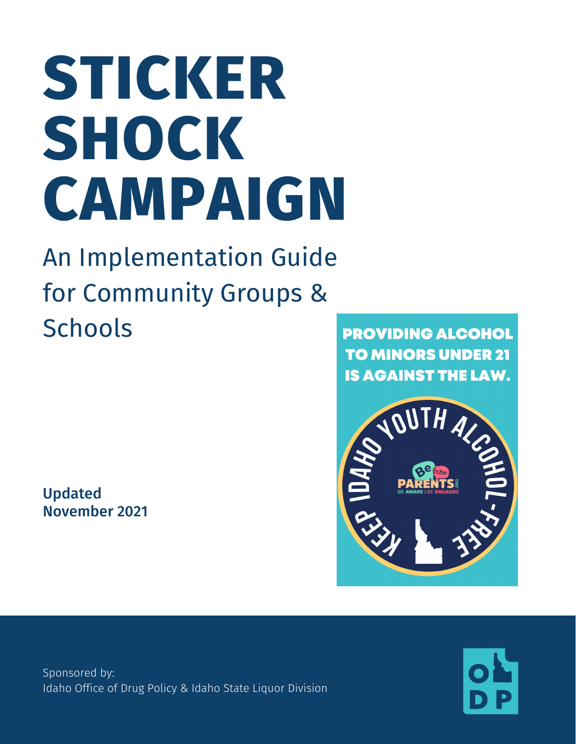# **STICKER SHOCK CAMPAIGN**

## An Implementation Guide for Community Groups & **Schools**

Updated November 2021





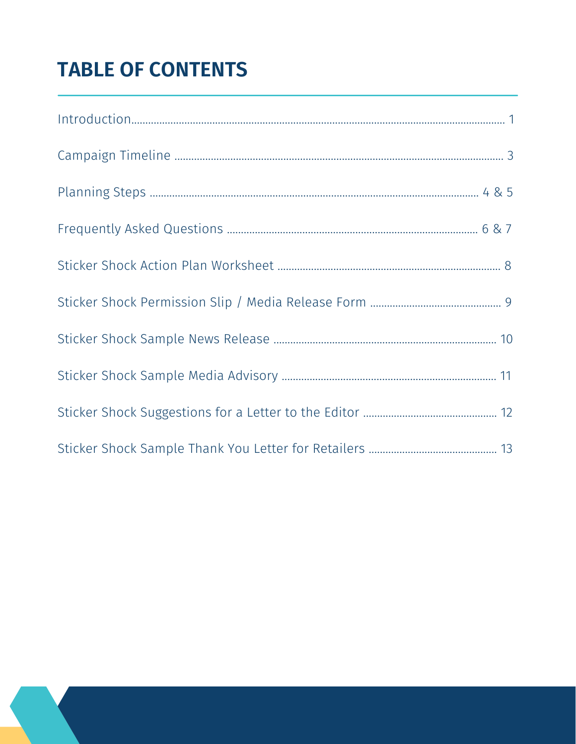### **TABLE OF CONTENTS**

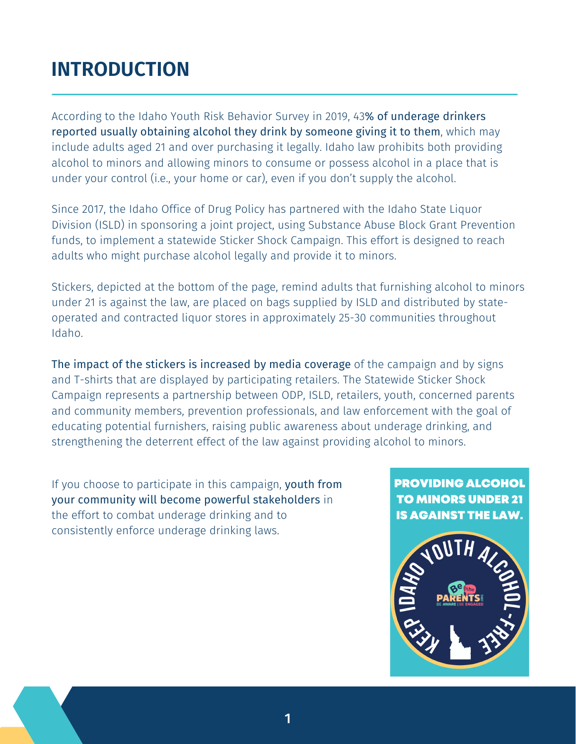### **INTRODUCTION**

According to the Idaho Youth Risk Behavior Survey in 2019, 43% of underage drinkers reported usually obtaining alcohol they drink by someone giving it to them, which may include adults aged 21 and over purchasing it legally. Idaho law prohibits both providing alcohol to minors and allowing minors to consume or possess alcohol in a place that is under your control (i.e., your home or car), even if you don't supply the alcohol.

Since 2017, the Idaho Office of Drug Policy has partnered with the Idaho State Liquor Division (ISLD) in sponsoring a joint project, using Substance Abuse Block Grant Prevention funds, to implement a statewide Sticker Shock Campaign. This effort is designed to reach adults who might purchase alcohol legally and provide it to minors.

Stickers, depicted at the bottom of the page, remind adults that furnishing alcohol to minors under 21 is against the law, are placed on bags supplied by ISLD and distributed by stateoperated and contracted liquor stores in approximately 25-30 communities throughout Idaho.

The impact of the stickers is increased by media coverage of the campaign and by signs and T-shirts that are displayed by participating retailers. The Statewide Sticker Shock Campaign represents a partnership between ODP, ISLD, retailers, youth, concerned parents and community members, prevention professionals, and law enforcement with the goal of educating potential furnishers, raising public awareness about underage drinking, and strengthening the deterrent effect of the law against providing alcohol to minors.

If you choose to participate in this campaign, youth from your community will become powerful stakeholders in the effort to combat underage drinking and to consistently enforce underage drinking laws.

#### **PROVIDING ALCOHOL TO MINORS UNDER 21 IS AGAINST THE LAW.**

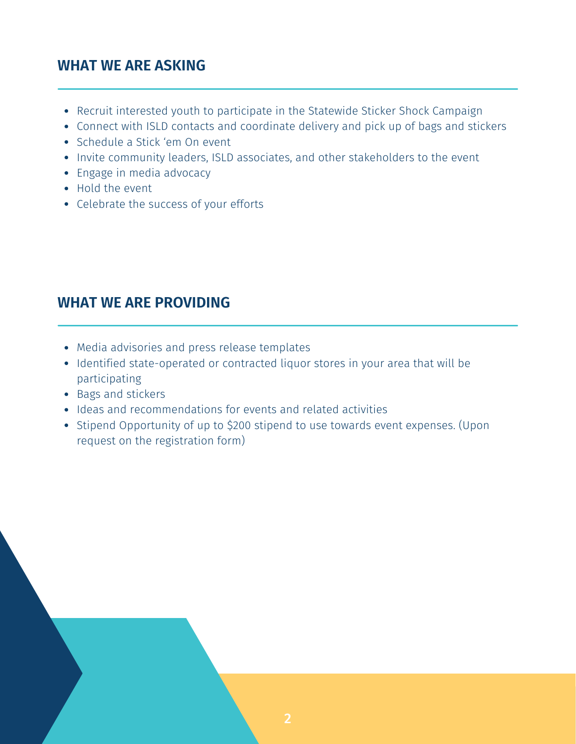#### **WHAT WE ARE ASKING**

- Recruit interested youth to participate in the Statewide Sticker Shock Campaign
- Connect with ISLD contacts and coordinate delivery and pick up of bags and stickers
- Schedule a Stick 'em On event
- Invite community leaders, ISLD associates, and other stakeholders to the event
- Engage in media advocacy
- Hold the event
- Celebrate the success of your efforts

#### **WHAT WE ARE PROVIDING**

- Media advisories and press release templates
- Identified state-operated or contracted liquor stores in your area that will be participating
- Bags and stickers
- Ideas and recommendations for events and related activities
- Stipend Opportunity of up to \$200 stipend to use towards event expenses. (Upon request on the registration form)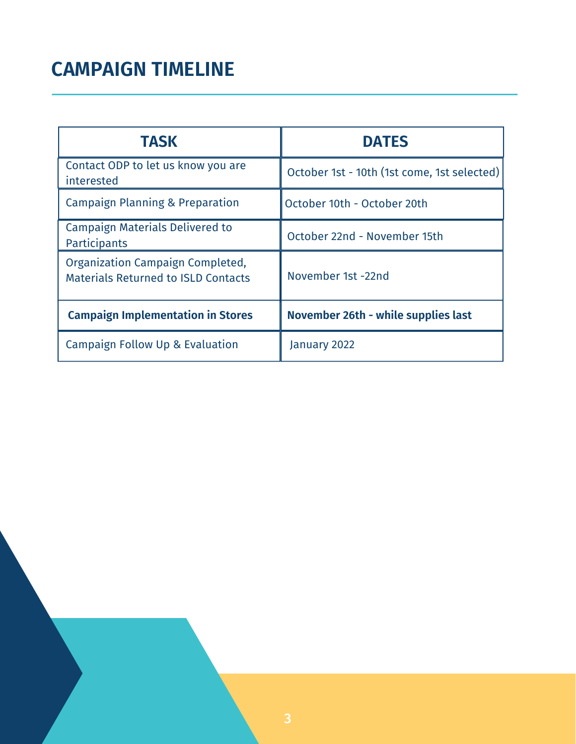### **CAMPAIGN TIMELINE**

| <b>TASK</b>                                                                    | <b>DATES</b>                                |
|--------------------------------------------------------------------------------|---------------------------------------------|
| Contact ODP to let us know you are<br>interested                               | October 1st - 10th (1st come, 1st selected) |
| <b>Campaign Planning &amp; Preparation</b>                                     | October 10th - October 20th                 |
| <b>Campaign Materials Delivered to</b><br>Participants                         | October 22nd - November 15th                |
| Organization Campaign Completed,<br><b>Materials Returned to ISLD Contacts</b> | November 1st -22nd                          |
| <b>Campaign Implementation in Stores</b>                                       | November 26th - while supplies last         |
| Campaign Follow Up & Evaluation                                                | January 2022                                |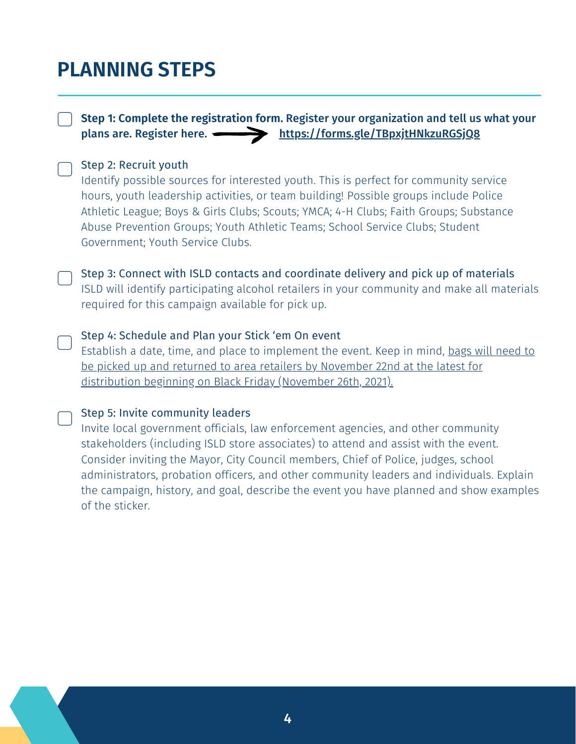### **PLANNING STEPS**

#### **Step 1: Complete the registration form.** Register your organization and tell us what your plans are. Register here. <https://forms.gle/TBpxjtHNkzuRGSjQ8>

#### Step 2: Recruit youth

Identify possible sources for interested youth. This is perfect for community service hours, youth leadership activities, or team building! Possible groups include Police Athletic League; Boys & Girls Clubs; Scouts; YMCA; 4-H Clubs; Faith Groups; Substance Abuse Prevention Groups; Youth Athletic Teams; School Service Clubs; Student Government; Youth Service Clubs.

Step 3: Connect with ISLD contacts and coordinate delivery and pick up of materials ISLD will identify participating alcohol retailers in your community and make all materials required for this campaign available for pick up.

#### Step 4: Schedule and Plan your Stick 'em On event

Establish a date, time, and place to implement the event. Keep in mind, bags will need to be picked up and returned to area retailers by November 22nd at the latest for distribution beginning on Black Friday (November 26th, 2021).

#### Step 5: Invite community leaders

Invite local government officials, law enforcement agencies, and other community stakeholders (including ISLD store associates) to attend and assist with the event. Consider inviting the Mayor, City Council members, Chief of Police, judges, school administrators, probation officers, and other community leaders and individuals. Explain the campaign, history, and goal, describe the event you have planned and show examples of the sticker.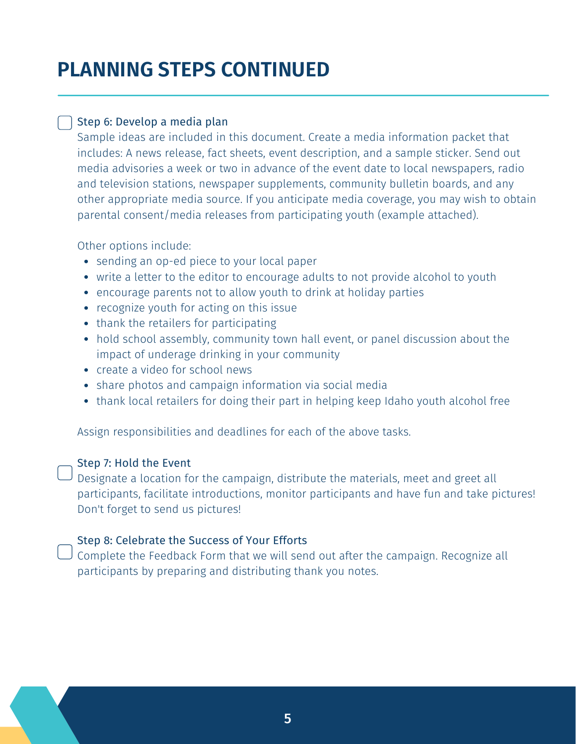### **PLANNING STEPS CONTINUED**

#### Step 6: Develop a media plan

Sample ideas are included in this document. Create a media information packet that includes: A news release, fact sheets, event description, and a sample sticker. Send out media advisories a week or two in advance of the event date to local newspapers, radio and television stations, newspaper supplements, community bulletin boards, and any other appropriate media source. If you anticipate media coverage, you may wish to obtain parental consent/media releases from participating youth (example attached).

Other options include:

- sending an op-ed piece to your local paper
- write a letter to the editor to encourage adults to not provide alcohol to youth
- encourage parents not to allow youth to drink at holiday parties
- recognize youth for acting on this issue
- thank the retailers for participating
- hold school assembly, community town hall event, or panel discussion about the impact of underage drinking in your community
- create a video for school news
- share photos and campaign information via social media
- thank local retailers for doing their part in helping keep Idaho youth alcohol free

Assign responsibilities and deadlines for each of the above tasks.

#### Step 7: Hold the Event

 $^\mathrm{J}$  Designate a location for the campaign, distribute the materials, meet and greet all participants, facilitate introductions, monitor participants and have fun and take pictures! Don't forget to send us pictures!

#### Step 8: Celebrate the Success of Your Efforts

 $\Box$  Complete the Feedback Form that we will send out after the campaign. Recognize all participants by preparing and distributing thank you notes.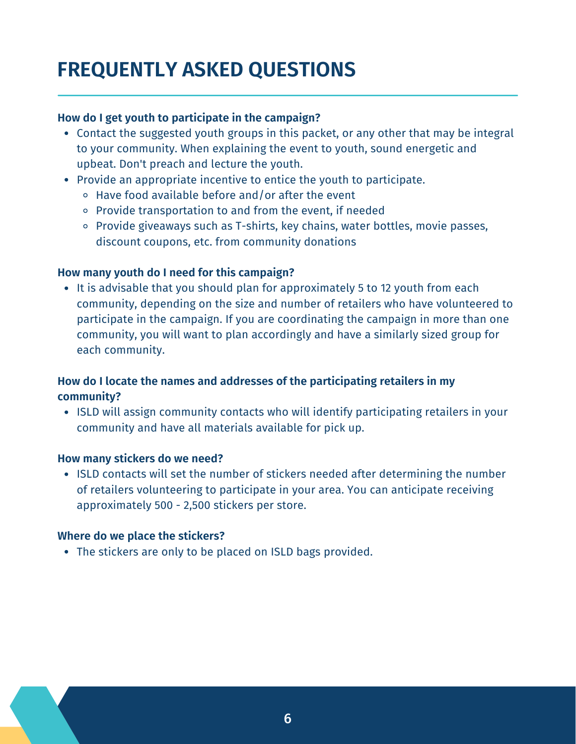### **FREQUENTLY ASKED QUESTIONS**

#### **How do I get youth to participate in the campaign?**

- Contact the suggested youth groups in this packet, or any other that may be integral to your community. When explaining the event to youth, sound energetic and upbeat. Don't preach and lecture the youth.
- Provide an appropriate incentive to entice the youth to participate.
	- Have food available before and/or after the event
	- Provide transportation to and from the event, if needed
	- Provide giveaways such as T-shirts, key chains, water bottles, movie passes, discount coupons, etc. from community donations

#### **How many youth do I need for this campaign?**

• It is advisable that you should plan for approximately 5 to 12 youth from each community, depending on the size and number of retailers who have volunteered to participate in the campaign. If you are coordinating the campaign in more than one community, you will want to plan accordingly and have a similarly sized group for each community.

#### **How do I locate the names and addresses of the participating retailers in my community?**

ISLD will assign community contacts who will identify participating retailers in your community and have all materials available for pick up.

#### **How many stickers do we need?**

ISLD contacts will set the number of stickers needed after determining the number of retailers volunteering to participate in your area. You can anticipate receiving approximately 500 - 2,500 stickers per store.

#### **Where do we place the stickers?**

The stickers are only to be placed on ISLD bags provided.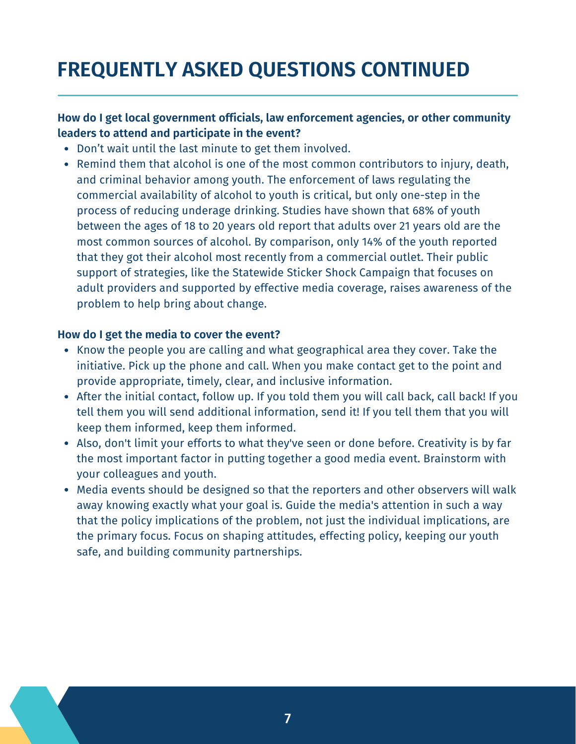### **FREQUENTLY ASKED QUESTIONS CONTINUED**

#### **How do I get local government officials, law enforcement agencies, or other community leaders to attend and participate in the event?**

- Don't wait until the last minute to get them involved.
- Remind them that alcohol is one of the most common contributors to injury, death, and criminal behavior among youth. The enforcement of laws regulating the commercial availability of alcohol to youth is critical, but only one-step in the process of reducing underage drinking. Studies have shown that 68% of youth between the ages of 18 to 20 years old report that adults over 21 years old are the most common sources of alcohol. By comparison, only 14% of the youth reported that they got their alcohol most recently from a commercial outlet. Their public support of strategies, like the Statewide Sticker Shock Campaign that focuses on adult providers and supported by effective media coverage, raises awareness of the problem to help bring about change.

#### **How do I get the media to cover the event?**

- Know the people you are calling and what geographical area they cover. Take the initiative. Pick up the phone and call. When you make contact get to the point and provide appropriate, timely, clear, and inclusive information.
- After the initial contact, follow up. If you told them you will call back, call back! If you tell them you will send additional information, send it! If you tell them that you will keep them informed, keep them informed.
- Also, don't limit your efforts to what they've seen or done before. Creativity is by far the most important factor in putting together a good media event. Brainstorm with your colleagues and youth.
- Media events should be designed so that the reporters and other observers will walk away knowing exactly what your goal is. Guide the media's attention in such a way that the policy implications of the problem, not just the individual implications, are the primary focus. Focus on shaping attitudes, effecting policy, keeping our youth safe, and building community partnerships.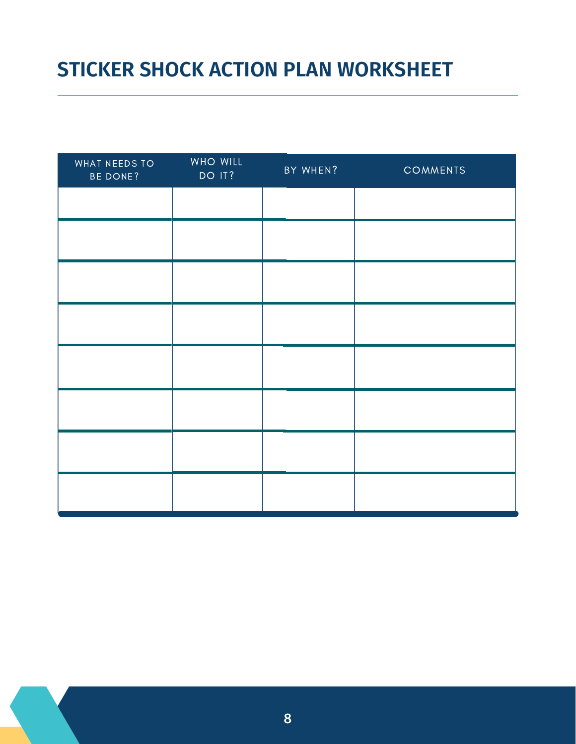### **STICKER SHOCK ACTION PLAN WORKSHEET**

| WHAT NEEDS TO<br>BE DONE? | WHO WILL<br>DO IT? | BY WHEN? | <b>COMMENTS</b> |
|---------------------------|--------------------|----------|-----------------|
|                           |                    |          |                 |
|                           |                    |          |                 |
|                           |                    |          |                 |
|                           |                    |          |                 |
|                           |                    |          |                 |
|                           |                    |          |                 |
|                           |                    |          |                 |
|                           |                    |          |                 |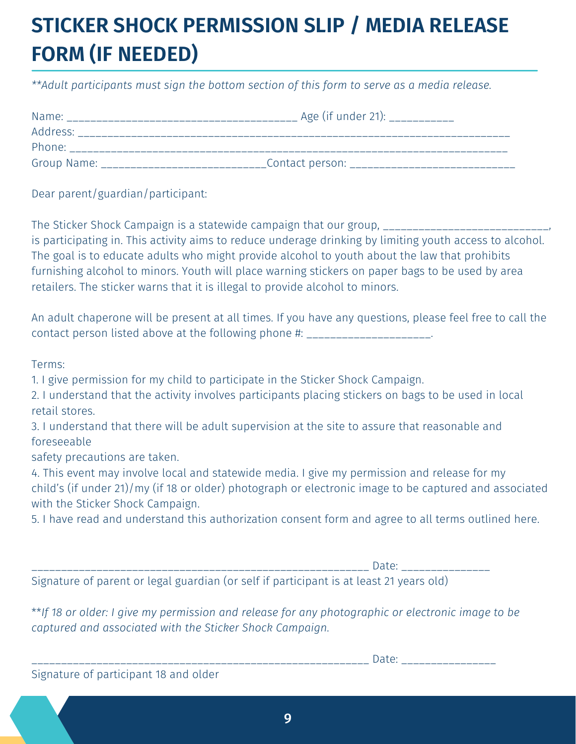### **STICKER SHOCK PERMISSION SLIP / MEDIA RELEASE FORM (IF NEEDED)**

*\*\*Adult participants must sign the bottom section of this form to serve as a media release.*

| Name:       | Age (if under 21): $-$ |
|-------------|------------------------|
| Address:    |                        |
| Phone:      |                        |
| Group Name: | Contact person:        |

Dear parent/guardian/participant:

The Sticker Shock Campaign is a statewide campaign that our group,

is participating in. This activity aims to reduce underage drinking by limiting youth access to alcohol. The goal is to educate adults who might provide alcohol to youth about the law that prohibits furnishing alcohol to minors. Youth will place warning stickers on paper bags to be used by area retailers. The sticker warns that it is illegal to provide alcohol to minors.

An adult chaperone will be present at all times. If you have any questions, please feel free to call the contact person listed above at the following phone #:

Terms:

1. I give permission for my child to participate in the Sticker Shock Campaign.

2. I understand that the activity involves participants placing stickers on bags to be used in local retail stores.

3. I understand that there will be adult supervision at the site to assure that reasonable and foreseeable

safety precautions are taken.

4. This event may involve local and statewide media. I give my permission and release for my child's (if under 21)/my (if 18 or older) photograph or electronic image to be captured and associated with the Sticker Shock Campaign.

5. I have read and understand this authorization consent form and agree to all terms outlined here.

| Date:                                                                                   |  |
|-----------------------------------------------------------------------------------------|--|
| Signature of parent or legal guardian (or self if participant is at least 21 years old) |  |
|                                                                                         |  |

\*\**If 18 or older: I give my permission and release for any photographic or electronic image to be captured and associated with the Sticker Shock Campaign.*

 $\Box$  Date:

Signature of participant 18 and older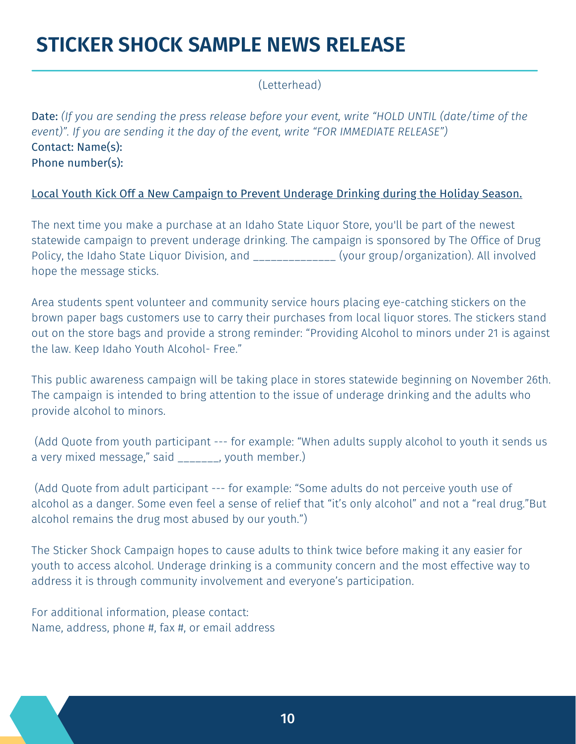### **STICKER SHOCK SAMPLE NEWS RELEASE**

#### (Letterhead)

Date: *(If you are sending the press release before your event, write "HOLD UNTIL (date/time of the event)". If you are sending it the day of the event, write "FOR IMMEDIATE RELEASE")* Contact: Name(s): Phone number(s):

#### Local Youth Kick Off a New Campaign to Prevent Underage Drinking during the Holiday Season.

The next time you make a purchase at an Idaho State Liquor Store, you'll be part of the newest statewide campaign to prevent underage drinking. The campaign is sponsored by The Office of Drug Policy, the Idaho State Liquor Division, and \_\_\_\_\_\_\_\_\_\_\_\_\_\_ (your group/organization). All involved hope the message sticks.

Area students spent volunteer and community service hours placing eye-catching stickers on the brown paper bags customers use to carry their purchases from local liquor stores. The stickers stand out on the store bags and provide a strong reminder: "Providing Alcohol to minors under 21 is against the law. Keep Idaho Youth Alcohol- Free."

This public awareness campaign will be taking place in stores statewide beginning on November 26th. The campaign is intended to bring attention to the issue of underage drinking and the adults who provide alcohol to minors.

(Add Quote from youth participant --- for example: "When adults supply alcohol to youth it sends us a very mixed message," said \_\_\_\_\_\_\_, youth member.)

(Add Quote from adult participant --- for example: "Some adults do not perceive youth use of alcohol as a danger. Some even feel a sense of relief that "it's only alcohol" and not a "real drug."But alcohol remains the drug most abused by our youth.")

The Sticker Shock Campaign hopes to cause adults to think twice before making it any easier for youth to access alcohol. Underage drinking is a community concern and the most effective way to address it is through community involvement and everyone's participation.

For additional information, please contact: Name, address, phone #, fax #, or email address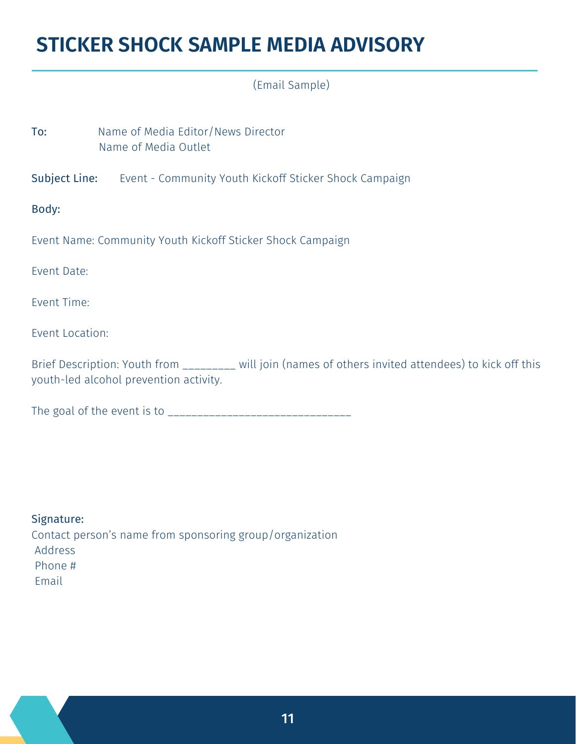### **STICKER SHOCK SAMPLE MEDIA ADVISORY**

(Email Sample)

| To:             | Name of Media Editor/News Director<br>Name of Media Outlet                                                                                      |
|-----------------|-------------------------------------------------------------------------------------------------------------------------------------------------|
| Subject Line:   | Event - Community Youth Kickoff Sticker Shock Campaign                                                                                          |
| Body:           |                                                                                                                                                 |
|                 | Event Name: Community Youth Kickoff Sticker Shock Campaign                                                                                      |
| Event Date:     |                                                                                                                                                 |
| Event Time:     |                                                                                                                                                 |
| Event Location: |                                                                                                                                                 |
|                 | Brief Description: Youth from ________ will join (names of others invited attendees) to kick off this<br>youth-led alcohol prevention activity. |

The goal of the event is to \_\_\_\_\_\_\_\_\_\_\_\_\_\_\_\_\_\_\_\_\_\_\_\_\_\_\_\_\_\_\_

| Signature:                                               |
|----------------------------------------------------------|
| Contact person's name from sponsoring group/organization |
| Address                                                  |
| Phone #                                                  |
| Email                                                    |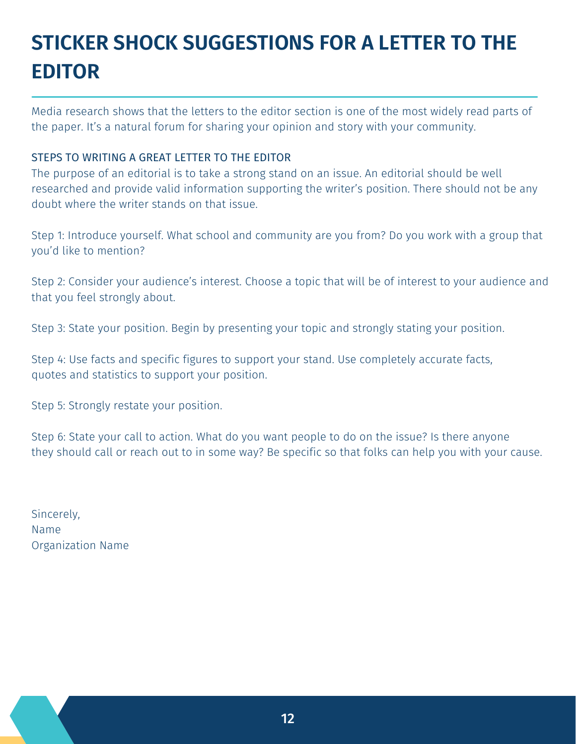### **STICKER SHOCK SUGGESTIONS FOR A LETTER TO THE EDITOR**

Media research shows that the letters to the editor section is one of the most widely read parts of the paper. It's a natural forum for sharing your opinion and story with your community.

#### STEPS TO WRITING A GREAT LETTER TO THE EDITOR

The purpose of an editorial is to take a strong stand on an issue. An editorial should be well researched and provide valid information supporting the writer's position. There should not be any doubt where the writer stands on that issue.

Step 1: Introduce yourself. What school and community are you from? Do you work with a group that you'd like to mention?

Step 2: Consider your audience's interest. Choose a topic that will be of interest to your audience and that you feel strongly about.

Step 3: State your position. Begin by presenting your topic and strongly stating your position.

Step 4: Use facts and specific figures to support your stand. Use completely accurate facts, quotes and statistics to support your position.

Step 5: Strongly restate your position.

Step 6: State your call to action. What do you want people to do on the issue? Is there anyone they should call or reach out to in some way? Be specific so that folks can help you with your cause.

Sincerely, Name Organization Name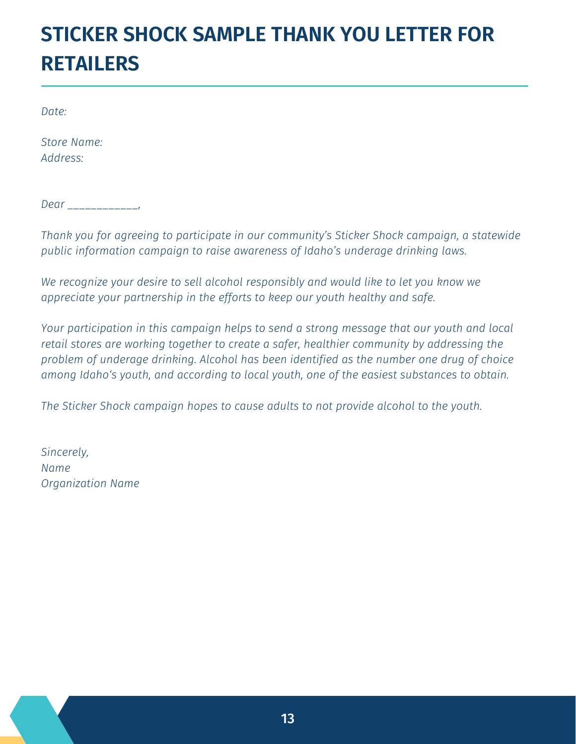### **STICKER SHOCK SAMPLE THANK YOU LETTER FOR RETAILERS**

*Date:*

*Store Name: Address:*

*Dear \_\_\_\_\_\_\_\_\_\_\_\_,*

*Thank you for agreeing to participate in our community's Sticker Shock campaign, a statewide public information campaign to raise awareness of Idaho's underage drinking laws.*

*We recognize your desire to sell alcohol responsibly and would like to let you know we appreciate your partnership in the efforts to keep our youth healthy and safe.*

*Your participation in this campaign helps to send a strong message that our youth and local retail stores are working together to create a safer, healthier community by addressing the problem of underage drinking. Alcohol has been identified as the number one drug of choice among Idaho's youth, and according to local youth, one of the easiest substances to obtain.*

*The Sticker Shock campaign hopes to cause adults to not provide alcohol to the youth.*

*Sincerely, Name Organization Name*